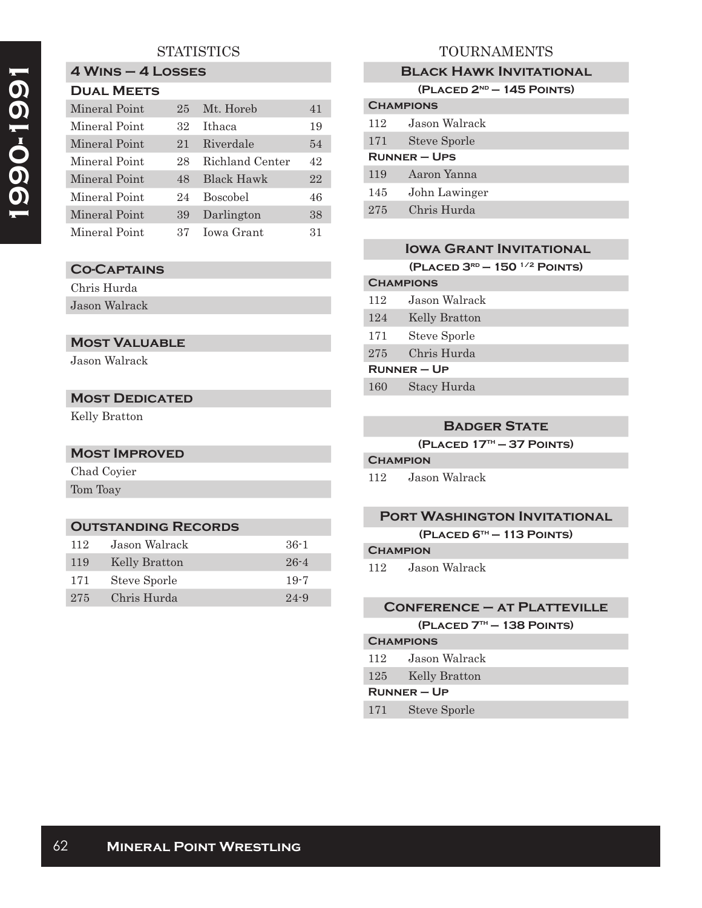### **4 Wins – 4 Losses Dual Meets**

| PUAL MELIJ    |     |                 |    |
|---------------|-----|-----------------|----|
| Mineral Point | 2.5 | Mt. Horeb       | 41 |
| Mineral Point | 32  | <b>Ithaca</b>   | 19 |
| Mineral Point | 21  | Riverdale       | 54 |
| Mineral Point | 28  | Richland Center | 42 |
| Mineral Point | 48  | Black Hawk      | 22 |
| Mineral Point | 24  | <b>Boscobel</b> | 46 |
| Mineral Point | 39  | Darlington      | 38 |
| Mineral Point | 37  | Iowa Grant      | 31 |

# **Co-Captains**

Chris Hurda Jason Walrack

# **Most Valuable**

Jason Walrack

# **Most Dedicated**

Kelly Bratton

# **Most Improved**

Chad Coyier Tom Toay

## **Outstanding Records**

| 112 | Jason Walrack | $36-1$   |
|-----|---------------|----------|
| 119 | Kelly Bratton | $26 - 4$ |
| 171 | Steve Sporle  | $19-7$   |
| 275 | Chris Hurda   | $24 - 9$ |

# TOURNAMENTS

## **Black Hawk Invitational**

| $(PLACED 2ND - 145 POINTS)$ |  |  |  |
|-----------------------------|--|--|--|
|-----------------------------|--|--|--|

| <b>CHAMPIONS</b>    |                     |  |
|---------------------|---------------------|--|
| 112                 | Jason Walrack       |  |
| 171                 | <b>Steve Sporle</b> |  |
| <b>RUNNER – UPS</b> |                     |  |
| 119                 | Aaron Yanna         |  |
| 145                 | John Lawinger       |  |
| 275                 | Chris Hurda         |  |
|                     |                     |  |

|                    | <b>IOWA GRANT INVITATIONAL</b>          |
|--------------------|-----------------------------------------|
|                    | (PLACED $3^{RD}$ – 150 $^{1/2}$ POINTS) |
|                    | <b>CHAMPIONS</b>                        |
| 112                | Jason Walrack                           |
| 124                | Kelly Bratton                           |
| 171                | Steve Sporle                            |
| $275\,$            | Chris Hurda                             |
| <b>RUNNER – UP</b> |                                         |
| 160                | Stacy Hurda                             |

# **Badger State**

**(Placed 17th — 37 Points)**

## **Champion**

112 Jason Walrack

## **Port Washington Invitational**

**(Placed 6th — 113 Points)**

#### **Champion**

112 Jason Walrack

## **Conference – at Platteville**

**(Placed 7th — 138 Points)**

# **Champions**

- 112 Jason Walrack
- 125 Kelly Bratton

#### **Runner – Up**

171 Steve Sporle